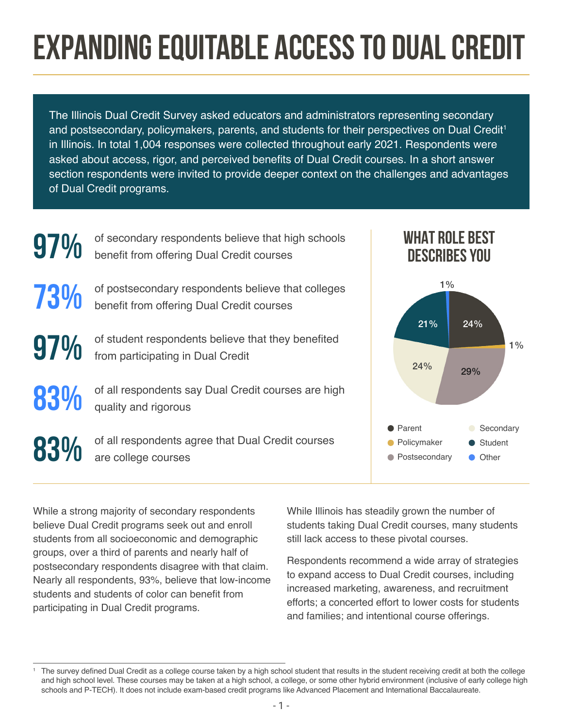# **EXPANDING EQUITABLE ACCESS TO DUAL CREDIT**

The Illinois Dual Credit Survey asked educators and administrators representing secondary and postsecondary, policymakers, parents, and students for their perspectives on Dual Credit<sup>1</sup> in Illinois. In total 1,004 responses were collected throughout early 2021. Respondents were asked about access, rigor, and perceived benefits of Dual Credit courses. In a short answer section respondents were invited to provide deeper context on the challenges and advantages of Dual Credit programs.



While a strong majority of secondary respondents believe Dual Credit programs seek out and enroll students from all socioeconomic and demographic groups, over a third of parents and nearly half of postsecondary respondents disagree with that claim. Nearly all respondents, 93%, believe that low-income students and students of color can benefit from participating in Dual Credit programs.

While Illinois has steadily grown the number of students taking Dual Credit courses, many students still lack access to these pivotal courses.

1%

Respondents recommend a wide array of strategies to expand access to Dual Credit courses, including increased marketing, awareness, and recruitment efforts; a concerted effort to lower costs for students and families; and intentional course offerings.

<sup>1</sup> The survey defined Dual Credit as a college course taken by a high school student that results in the student receiving credit at both the college and high school level. These courses may be taken at a high school, a college, or some other hybrid environment (inclusive of early college high schools and P-TECH). It does not include exam-based credit programs like Advanced Placement and International Baccalaureate.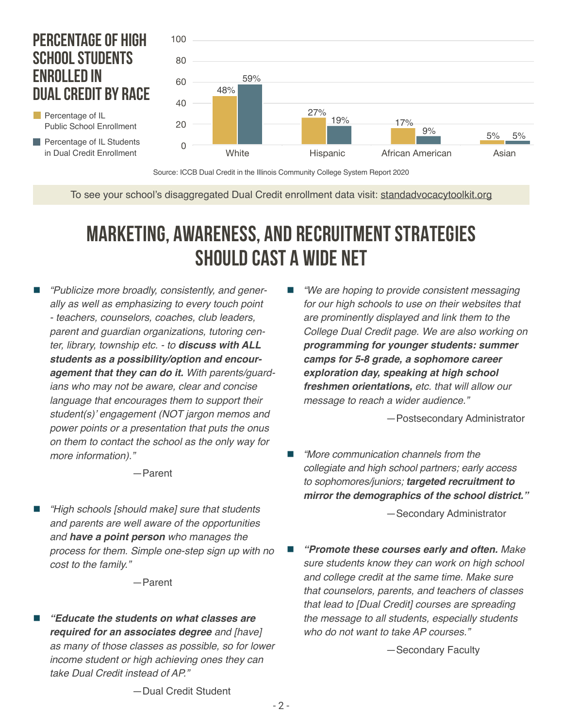### **PERCENTAGE OF HIGH SCHOOL STUDENTS ENROLLED IN DUAL CREDIT BY RACE**

**Percentage of IL Students** in Dual Credit Enrollment

Public School Enrollment

Percentage of IL



Source: ICCB Dual Credit in the Illinois Community College System Report 2020

To see your school's disaggregated Dual Credit enrollment data visit: [standadvocacytoolkit.org](http://standadvocacytoolkit.org)

### **MARKETING, AWARENESS, AND RECRUITMENT STRATEGIES SHOULD CAST A WIDE NET**

 *"Publicize more broadly, consistently, and generally as well as emphasizing to every touch point - teachers, counselors, coaches, club leaders, parent and guardian organizations, tutoring center, library, township etc. - to* **discuss with ALL students as a possibility/option and encouragement that they can do it.** *With parents/guardians who may not be aware, clear and concise language that encourages them to support their*  student(s)' engagement (NOT jargon memos and *power points or a presentation that puts the onus on them to contact the school as the only way for more information)."*

—Parent

 *"High schools [should make] sure that students and parents are well aware of the opportunities and* **have a point person** *who manages the process for them. Simple one-step sign up with no cost to the family."*

—Parent

 **"Educate the students on what classes are required for an associates degree** *and [have] as many of those classes as possible, so for lower income student or high achieving ones they can take Dual Credit instead of AP."*

 *"We are hoping to provide consistent messaging for our high schools to use on their websites that are prominently displayed and link them to the College Dual Credit page. We are also working on*  **programming for younger students: summer camps for 5-8 grade, a sophomore career exploration day, speaking at high school freshmen orientations,** *etc. that will allow our message to reach a wider audience."*

—Postsecondary Administrator

 *"More communication channels from the collegiate and high school partners; early access*  to sophomores/juniors; **targeted recruitment to mirror the demographics of the school district."**

—Secondary Administrator

 **"Promote these courses early and often.** *Make sure students know they can work on high school and college credit at the same time. Make sure that counselors, parents, and teachers of classes that lead to [Dual Credit] courses are spreading the message to all students, especially students who do not want to take AP courses."*

—Secondary Faculty

—Dual Credit Student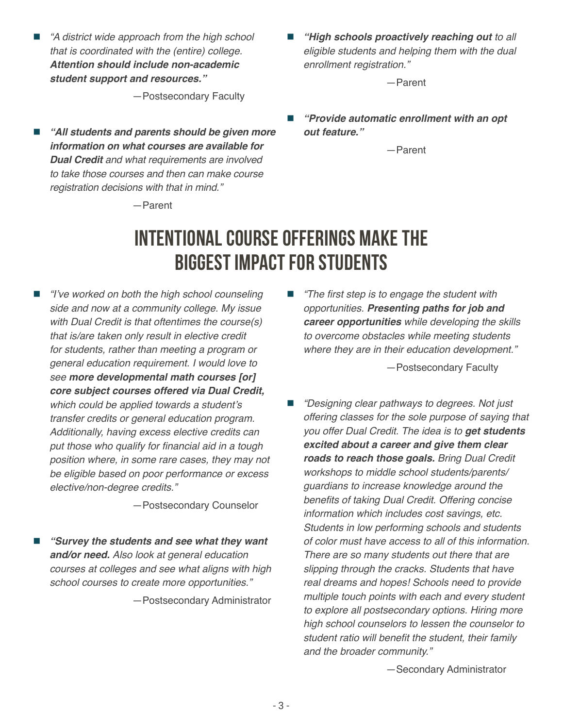*"A district wide approach from the high school that is coordinated with the (entire) college.*  **Attention should include non-academic student support and resources."**

—Postsecondary Faculty

- **"All students and parents should be given more information on what courses are available for Dual Credit** *and what requirements are involved to take those courses and then can make course registration decisions with that in mind."*
- **"High schools proactively reaching out** *to all eligible students and helping them with the dual enrollment registration."*

—Parent

 **"Provide automatic enrollment with an opt out feature."**

—Parent

#### —Parent

### **INTENTIONAL COURSE OFFERINGS MAKE THE BIGGEST IMPACT FOR STUDENTS**

 "I've worked on both the high school counseling *side and now at a community college. My issue with Dual Credit is that oftentimes the course(s) that is/are taken only result in elective credit for students, rather than meeting a program or general education requirement. I would love to see* **more developmental math courses [or] core subject courses offered via Dual Credit,** which could be applied towards a student's *transfer credits or general education program. Additionally, having excess elective credits can*  put those who qualify for financial aid in a tough *position where, in some rare cases, they may not be eligible based on poor performance or excess elective/non-degree credits."* 

—Postsecondary Counselor

 **"Survey the students and see what they want and/or need.** *Also look at general education courses at colleges and see what aligns with high school courses to create more opportunities."*

—Postsecondary Administrator

 "The first step is to engage the student with *opportunities.* **Presenting paths for job and career opportunities** *while developing the skills to overcome obstacles while meeting students where they are in their education development."*

—Postsecondary Faculty

 "Designing clear pathways to degrees. Not just *offering classes for the sole purpose of saying that*  you offer Dual Credit. The idea is to **get students excited about a career and give them clear roads to reach those goals.** *Bring Dual Credit workshops to middle school students/parents/ guardians to increase knowledge around the*  benefits of taking Dual Credit. Offering concise *information which includes cost savings, etc. Students in low performing schools and students of color must have access to all of this information.*  There are so many students out there that are *slipping through the cracks. Students that have real dreams and hopes! Schools need to provide multiple touch points with each and every student to explore all postsecondary options. Hiring more high school counselors to lessen the counselor to*  student ratio will benefit the student, their family *and the broader community."*

—Secondary Administrator